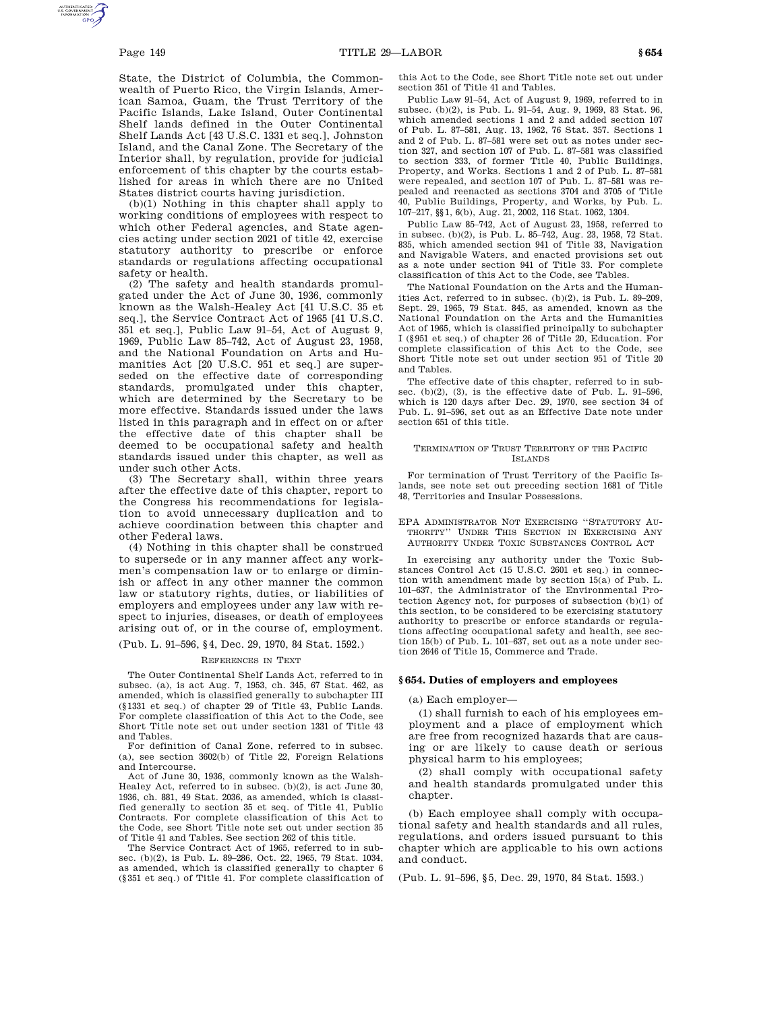State, the District of Columbia, the Commonwealth of Puerto Rico, the Virgin Islands, American Samoa, Guam, the Trust Territory of the Pacific Islands, Lake Island, Outer Continental Shelf lands defined in the Outer Continental Shelf Lands Act [43 U.S.C. 1331 et seq.], Johnston Island, and the Canal Zone. The Secretary of the Interior shall, by regulation, provide for judicial enforcement of this chapter by the courts established for areas in which there are no United States district courts having jurisdiction.

(b)(1) Nothing in this chapter shall apply to working conditions of employees with respect to which other Federal agencies, and State agencies acting under section 2021 of title 42, exercise statutory authority to prescribe or enforce standards or regulations affecting occupational safety or health.

(2) The safety and health standards promulgated under the Act of June 30, 1936, commonly known as the Walsh-Healey Act [41 U.S.C. 35 et seq.], the Service Contract Act of 1965 [41 U.S.C. 351 et seq.], Public Law 91–54, Act of August 9, 1969, Public Law 85–742, Act of August 23, 1958, and the National Foundation on Arts and Humanities Act [20 U.S.C. 951 et seq.] are superseded on the effective date of corresponding standards, promulgated under this chapter, which are determined by the Secretary to be more effective. Standards issued under the laws listed in this paragraph and in effect on or after the effective date of this chapter shall be deemed to be occupational safety and health standards issued under this chapter, as well as under such other Acts.

(3) The Secretary shall, within three years after the effective date of this chapter, report to the Congress his recommendations for legislation to avoid unnecessary duplication and to achieve coordination between this chapter and other Federal laws.

(4) Nothing in this chapter shall be construed to supersede or in any manner affect any workmen's compensation law or to enlarge or diminish or affect in any other manner the common law or statutory rights, duties, or liabilities of employers and employees under any law with respect to injuries, diseases, or death of employees arising out of, or in the course of, employment.

(Pub. L. 91–596, §4, Dec. 29, 1970, 84 Stat. 1592.)

#### REFERENCES IN TEXT

The Outer Continental Shelf Lands Act, referred to in subsec. (a), is act Aug. 7, 1953, ch. 345, 67 Stat. 462, as amended, which is classified generally to subchapter III (§1331 et seq.) of chapter 29 of Title 43, Public Lands. For complete classification of this Act to the Code, see Short Title note set out under section 1331 of Title 43 and Tables.

For definition of Canal Zone, referred to in subsec. (a), see section 3602(b) of Title 22, Foreign Relations and Intercourse.

Act of June 30, 1936, commonly known as the Walsh-Healey Act, referred to in subsec. (b)(2), is act June 30, 1936, ch. 881, 49 Stat. 2036, as amended, which is classified generally to section 35 et seq. of Title 41, Public Contracts. For complete classification of this Act to the Code, see Short Title note set out under section 35 of Title 41 and Tables. See section 262 of this title.

The Service Contract Act of 1965, referred to in subsec. (b)(2), is Pub. L. 89–286, Oct. 22, 1965, 79 Stat. 1034, as amended, which is classified generally to chapter 6 (§351 et seq.) of Title 41. For complete classification of this Act to the Code, see Short Title note set out under section 351 of Title 41 and Tables.

Public Law 91–54, Act of August 9, 1969, referred to in subsec. (b)(2), is Pub. L. 91–54, Aug. 9, 1969, 83 Stat. 96, which amended sections 1 and 2 and added section 107 of Pub. L. 87–581, Aug. 13, 1962, 76 Stat. 357. Sections 1 and 2 of Pub. L. 87–581 were set out as notes under section 327, and section 107 of Pub. L. 87–581 was classified to section 333, of former Title 40, Public Buildings, Property, and Works. Sections 1 and 2 of Pub. L. 87–581 were repealed, and section 107 of Pub. L. 87–581 was repealed and reenacted as sections 3704 and 3705 of Title 40, Public Buildings, Property, and Works, by Pub. L. 107–217, §§1, 6(b), Aug. 21, 2002, 116 Stat. 1062, 1304.

Public Law 85–742, Act of August 23, 1958, referred to in subsec. (b)(2), is Pub. L. 85–742, Aug. 23, 1958, 72 Stat. 835, which amended section 941 of Title 33, Navigation and Navigable Waters, and enacted provisions set out as a note under section 941 of Title 33. For complete classification of this Act to the Code, see Tables.

The National Foundation on the Arts and the Humanities Act, referred to in subsec. (b)(2), is Pub. L. 89–209, Sept. 29, 1965, 79 Stat. 845, as amended, known as the National Foundation on the Arts and the Humanities Act of 1965, which is classified principally to subchapter I (§951 et seq.) of chapter 26 of Title 20, Education. For complete classification of this Act to the Code, see Short Title note set out under section 951 of Title 20 and Tables.

The effective date of this chapter, referred to in subsec. (b)(2), (3), is the effective date of Pub. L. 91-596, which is 120 days after Dec. 29, 1970, see section 34 of Pub. L. 91–596, set out as an Effective Date note under section 651 of this title.

#### TERMINATION OF TRUST TERRITORY OF THE PACIFIC ISLANDS

For termination of Trust Territory of the Pacific Islands, see note set out preceding section 1681 of Title 48, Territories and Insular Possessions.

EPA ADMINISTRATOR NOT EXERCISING ''STATUTORY AU-THORITY'' UNDER THIS SECTION IN EXERCISING ANY AUTHORITY UNDER TOXIC SUBSTANCES CONTROL ACT

In exercising any authority under the Toxic Substances Control Act (15 U.S.C. 2601 et seq.) in connection with amendment made by section 15(a) of Pub. L. 101–637, the Administrator of the Environmental Protection Agency not, for purposes of subsection (b)(1) of this section, to be considered to be exercising statutory authority to prescribe or enforce standards or regulations affecting occupational safety and health, see section 15(b) of Pub. L. 101–637, set out as a note under section 2646 of Title 15, Commerce and Trade.

### **§ 654. Duties of employers and employees**

(a) Each employer—

(1) shall furnish to each of his employees employment and a place of employment which are free from recognized hazards that are causing or are likely to cause death or serious physical harm to his employees;

(2) shall comply with occupational safety and health standards promulgated under this chapter.

(b) Each employee shall comply with occupational safety and health standards and all rules, regulations, and orders issued pursuant to this chapter which are applicable to his own actions and conduct.

(Pub. L. 91–596, §5, Dec. 29, 1970, 84 Stat. 1593.)